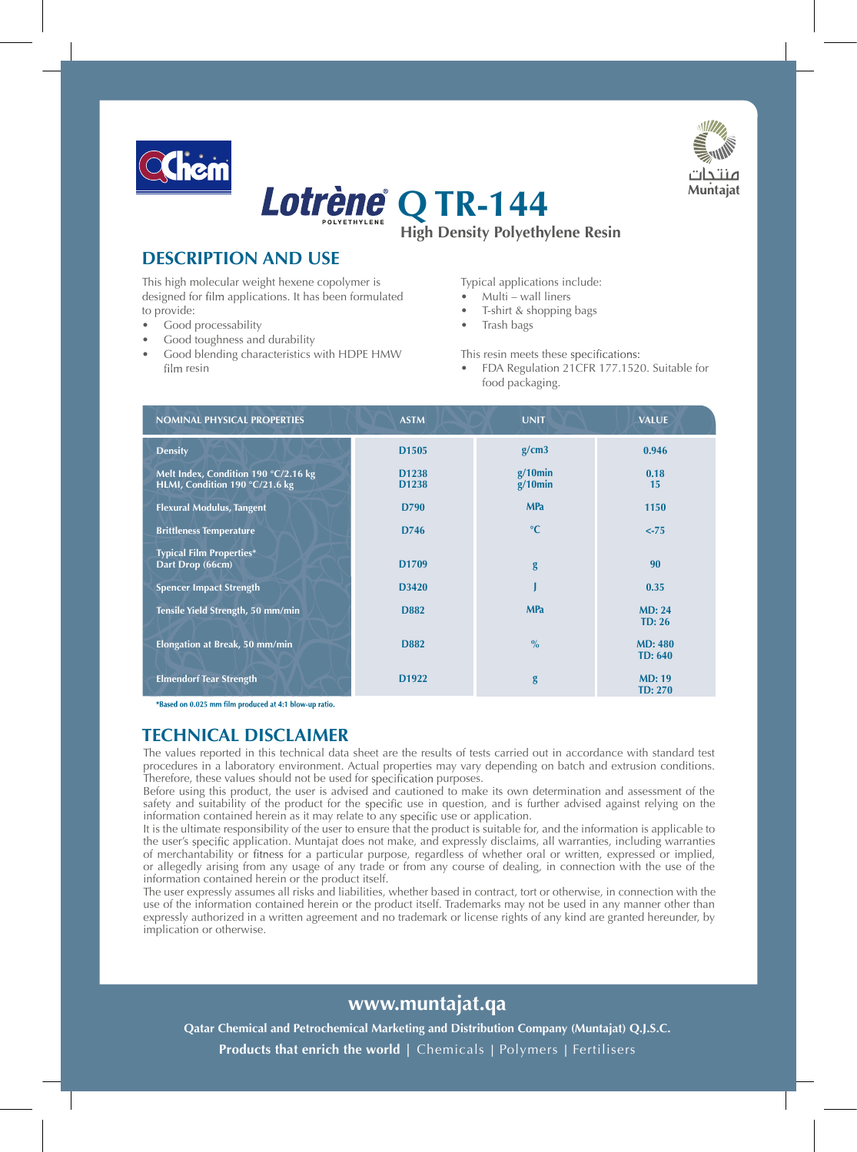



**High Density Polyethylene Resin Lotrène** Q TR-144

## **DESCRIPTION AND USE**

This high molecular weight hexene copolymer is designed for film applications. It has been formulated to provide:

- Good processability
- Good toughness and durability
- Good blending characteristics with HDPE HMW film resin

Typical applications include:

- Multi wall liners
- T-shirt & shopping bags
- Trash bags

This resin meets these specifications:

FDA Regulation 21CFR 177.1520. Suitable for food packaging.

| <b>NOMINAL PHYSICAL PROPERTIES</b>                                     | <b>ASTM</b>                | <b>UNIT</b>              | <b>VALUE</b>                     |  |
|------------------------------------------------------------------------|----------------------------|--------------------------|----------------------------------|--|
| <b>Density</b>                                                         | D <sub>1505</sub>          | g/cm3                    | 0.946                            |  |
| Melt Index, Condition 190 °C/2.16 kg<br>HLMI, Condition 190 °C/21.6 kg | D <sub>1238</sub><br>D1238 | $g/10$ min<br>$g/10$ min | 0.18<br>15                       |  |
| <b>Flexural Modulus, Tangent</b>                                       | D790                       | <b>MPa</b>               | 1150                             |  |
| <b>Brittleness Temperature</b>                                         | D746                       | $\rm ^{\circ}C$          | $< -75$                          |  |
| <b>Typical Film Properties*</b><br>Dart Drop (66cm)                    | D <sub>1709</sub>          | g                        | 90                               |  |
| <b>Spencer Impact Strength</b>                                         | D3420                      |                          | 0.35                             |  |
| Tensile Yield Strength, 50 mm/min                                      | D882                       | <b>MPa</b>               | MD: 24<br>TD: 26                 |  |
| Elongation at Break, 50 mm/min                                         | <b>D882</b>                | $\frac{0}{0}$            | <b>MD: 480</b><br><b>TD: 640</b> |  |
| <b>Elmendorf Tear Strength</b>                                         | D <sub>1922</sub>          | g                        | MD: 19<br><b>TD: 270</b>         |  |

\*Based on 0.025 mm film produced at 4:1 blow-up ratio.

## **TECHNICAL DISCLAIMER**

The values reported in this technical data sheet are the results of tests carried out in accordance with standard test procedures in a laboratory environment. Actual properties may vary depending on batch and extrusion conditions. Therefore, these values should not be used for specification purposes.

Before using this product, the user is advised and cautioned to make its own determination and assessment of the safety and suitability of the product for the specific use in question, and is further advised against relying on the information contained herein as it may relate to any specific use or application.

It is the ultimate responsibility of the user to ensure that the product is suitable for, and the information is applicable to the user's specific application. Muntajat does not make, and expressly disclaims, all warranties, including warranties of merchantability or fitness for a particular purpose, regardless of whether oral or written, expressed or implied, or allegedly arising from any usage of any trade or from any course of dealing, in connection with the use of the information contained herein or the product itself.

The user expressly assumes all risks and liabilities, whether based in contract, tort or otherwise, in connection with the use of the information contained herein or the product itself. Trademarks may not be used in any manner other than expressly authorized in a written agreement and no trademark or license rights of any kind are granted hereunder, by implication or otherwise.

## www.muntajat.ga

Qatar Chemical and Petrochemical Marketing and Distribution Company (Muntajat) Q.J.S.C. **Products that enrich the world** | Chemicals | Polymers | Fertilisers